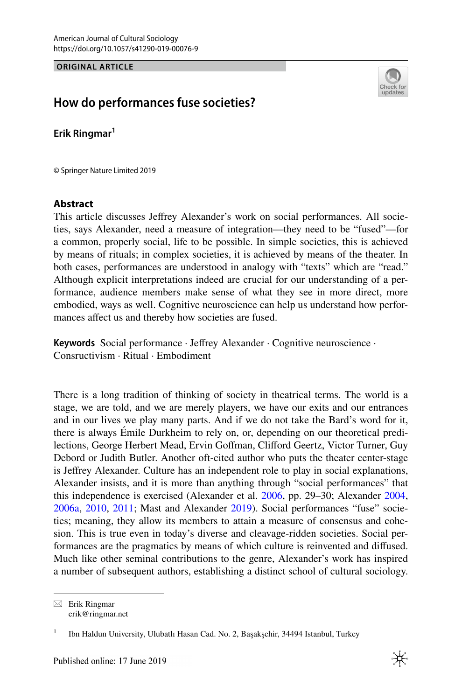**ORIGINAL ARTICLE**



# **How do performances fuse societies?**

**Erik Ringmar<sup>1</sup>**

© Springer Nature Limited 2019

## **Abstract**

This article discusses Jefrey Alexander's work on social performances. All societies, says Alexander, need a measure of integration—they need to be "fused"—for a common, properly social, life to be possible. In simple societies, this is achieved by means of rituals; in complex societies, it is achieved by means of the theater. In both cases, performances are understood in analogy with "texts" which are "read." Although explicit interpretations indeed are crucial for our understanding of a performance, audience members make sense of what they see in more direct, more embodied, ways as well. Cognitive neuroscience can help us understand how performances afect us and thereby how societies are fused.

**Keywords** Social performance · Jefrey Alexander · Cognitive neuroscience · Consructivism · Ritual · Embodiment

There is a long tradition of thinking of society in theatrical terms. The world is a stage, we are told, and we are merely players, we have our exits and our entrances and in our lives we play many parts. And if we do not take the Bard's word for it, there is always Émile Durkheim to rely on, or, depending on our theoretical predilections, George Herbert Mead, Ervin Gofman, Cliford Geertz, Victor Turner, Guy Debord or Judith Butler. Another oft-cited author who puts the theater center-stage is Jefrey Alexander. Culture has an independent role to play in social explanations, Alexander insists, and it is more than anything through "social performances" that this independence is exercised (Alexander et al. [2006,](#page-11-0) pp. 29–30; Alexander [2004,](#page-11-1) [2006a](#page-11-2), [2010](#page-11-3), [2011](#page-11-4); Mast and Alexander [2019\)](#page-13-0). Social performances "fuse" societies; meaning, they allow its members to attain a measure of consensus and cohesion. This is true even in today's diverse and cleavage-ridden societies. Social performances are the pragmatics by means of which culture is reinvented and difused. Much like other seminal contributions to the genre, Alexander's work has inspired a number of subsequent authors, establishing a distinct school of cultural sociology.

 $\boxtimes$  Erik Ringmar erik@ringmar.net

<sup>1</sup> Ibn Haldun University, Ulubatlı Hasan Cad. No. 2, Başakşehir, 34494 Istanbul, Turkey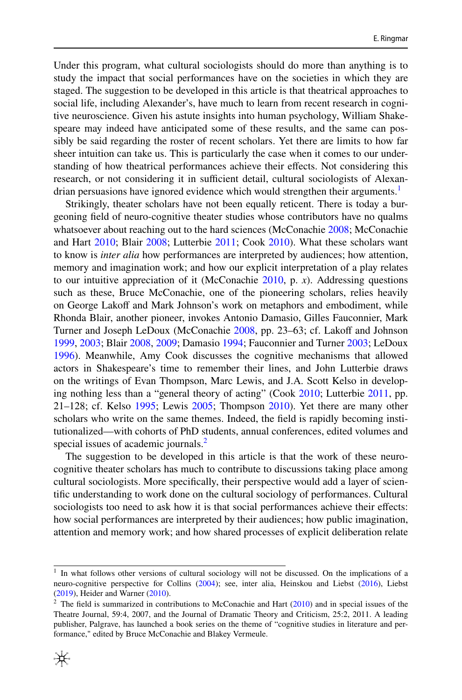Under this program, what cultural sociologists should do more than anything is to study the impact that social performances have on the societies in which they are staged. The suggestion to be developed in this article is that theatrical approaches to social life, including Alexander's, have much to learn from recent research in cognitive neuroscience. Given his astute insights into human psychology, William Shakespeare may indeed have anticipated some of these results, and the same can possibly be said regarding the roster of recent scholars. Yet there are limits to how far sheer intuition can take us. This is particularly the case when it comes to our understanding of how theatrical performances achieve their efects. Not considering this research, or not considering it in sufficient detail, cultural sociologists of Alexandrian persuasions have ignored evidence which would strengthen their arguments.<sup>1</sup>

Strikingly, theater scholars have not been equally reticent. There is today a burgeoning feld of neuro-cognitive theater studies whose contributors have no qualms whatsoever about reaching out to the hard sciences (McConachie [2008](#page-13-1); McConachie and Hart [2010;](#page-13-2) Blair [2008](#page-11-5); Lutterbie [2011;](#page-13-3) Cook [2010\)](#page-12-0). What these scholars want to know is *inter alia* how performances are interpreted by audiences; how attention, memory and imagination work; and how our explicit interpretation of a play relates to our intuitive appreciation of it (McConachie [2010,](#page-13-4) p. *x*). Addressing questions such as these, Bruce McConachie, one of the pioneering scholars, relies heavily on George Lakoff and Mark Johnson's work on metaphors and embodiment, while Rhonda Blair, another pioneer, invokes Antonio Damasio, Gilles Fauconnier, Mark Turner and Joseph LeDoux (McConachie [2008,](#page-13-1) pp. 23–63; cf. Lakof and Johnson [1999](#page-13-5), [2003;](#page-12-1) Blair [2008,](#page-11-5) [2009](#page-11-6); Damasio [1994;](#page-12-2) Fauconnier and Turner [2003](#page-12-3); LeDoux [1996](#page-13-6)). Meanwhile, Amy Cook discusses the cognitive mechanisms that allowed actors in Shakespeare's time to remember their lines, and John Lutterbie draws on the writings of Evan Thompson, Marc Lewis, and J.A. Scott Kelso in developing nothing less than a "general theory of acting" (Cook [2010](#page-12-0); Lutterbie [2011](#page-13-3), pp. 21–128; cf. Kelso [1995](#page-12-4); Lewis [2005;](#page-13-7) Thompson [2010\)](#page-14-0). Yet there are many other scholars who write on the same themes. Indeed, the feld is rapidly becoming institutionalized—with cohorts of PhD students, annual conferences, edited volumes and special issues of academic journals.<sup>[2](#page-1-1)</sup>

The suggestion to be developed in this article is that the work of these neurocognitive theater scholars has much to contribute to discussions taking place among cultural sociologists. More specifcally, their perspective would add a layer of scientifc understanding to work done on the cultural sociology of performances. Cultural sociologists too need to ask how it is that social performances achieve their efects: how social performances are interpreted by their audiences; how public imagination, attention and memory work; and how shared processes of explicit deliberation relate

<span id="page-1-1"></span><sup>&</sup>lt;sup>2</sup> The field is summarized in contributions to McConachie and Hart  $(2010)$  $(2010)$  and in special issues of the Theatre Journal, 59:4, 2007, and the Journal of Dramatic Theory and Criticism, 25:2, 2011. A leading publisher, Palgrave, has launched a book series on the theme of "cognitive studies in literature and performance," edited by Bruce McConachie and Blakey Vermeule.



<span id="page-1-0"></span><sup>&</sup>lt;sup>1</sup> In what follows other versions of cultural sociology will not be discussed. On the implications of a neuro-cognitive perspective for Collins ([2004\)](#page-12-5); see, inter alia, Heinskou and Liebst ([2016\)](#page-12-6), Liebst ([2019\)](#page-13-8), Heider and Warner [\(2010](#page-12-7)).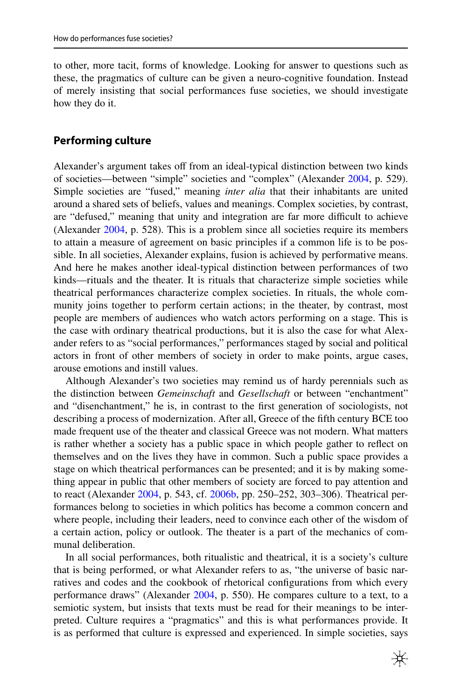to other, more tacit, forms of knowledge. Looking for answer to questions such as these, the pragmatics of culture can be given a neuro-cognitive foundation. Instead of merely insisting that social performances fuse societies, we should investigate how they do it.

#### **Performing culture**

Alexander's argument takes off from an ideal-typical distinction between two kinds of societies—between "simple" societies and "complex" (Alexander [2004](#page-11-1), p. 529). Simple societies are "fused," meaning *inter alia* that their inhabitants are united around a shared sets of beliefs, values and meanings. Complex societies, by contrast, are "defused," meaning that unity and integration are far more difficult to achieve (Alexander [2004,](#page-11-1) p. 528). This is a problem since all societies require its members to attain a measure of agreement on basic principles if a common life is to be possible. In all societies, Alexander explains, fusion is achieved by performative means. And here he makes another ideal-typical distinction between performances of two kinds—rituals and the theater. It is rituals that characterize simple societies while theatrical performances characterize complex societies. In rituals, the whole community joins together to perform certain actions; in the theater, by contrast, most people are members of audiences who watch actors performing on a stage. This is the case with ordinary theatrical productions, but it is also the case for what Alexander refers to as "social performances," performances staged by social and political actors in front of other members of society in order to make points, argue cases, arouse emotions and instill values.

Although Alexander's two societies may remind us of hardy perennials such as the distinction between *Gemeinschaft* and *Gesellschaft* or between "enchantment" and "disenchantment," he is, in contrast to the frst generation of sociologists, not describing a process of modernization. After all, Greece of the ffth century BCE too made frequent use of the theater and classical Greece was not modern. What matters is rather whether a society has a public space in which people gather to refect on themselves and on the lives they have in common. Such a public space provides a stage on which theatrical performances can be presented; and it is by making something appear in public that other members of society are forced to pay attention and to react (Alexander [2004](#page-11-1), p. 543, cf. [2006b,](#page-11-7) pp. 250-252, 303-306). Theatrical performances belong to societies in which politics has become a common concern and where people, including their leaders, need to convince each other of the wisdom of a certain action, policy or outlook. The theater is a part of the mechanics of communal deliberation.

In all social performances, both ritualistic and theatrical, it is a society's culture that is being performed, or what Alexander refers to as, "the universe of basic narratives and codes and the cookbook of rhetorical confgurations from which every performance draws" (Alexander [2004](#page-11-1), p. 550). He compares culture to a text, to a semiotic system, but insists that texts must be read for their meanings to be interpreted. Culture requires a "pragmatics" and this is what performances provide. It is as performed that culture is expressed and experienced. In simple societies, says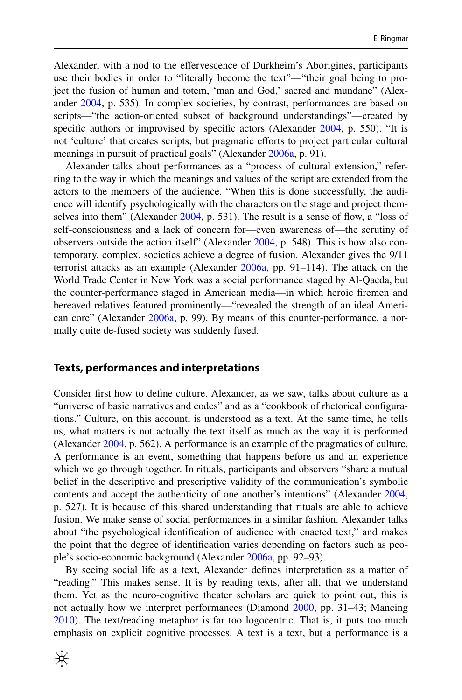Alexander, with a nod to the efervescence of Durkheim's Aborigines, participants use their bodies in order to "literally become the text"—"their goal being to project the fusion of human and totem, 'man and God,' sacred and mundane" (Alexander [2004,](#page-11-1) p. 535). In complex societies, by contrast, performances are based on scripts—"the action-oriented subset of background understandings"—created by specific authors or improvised by specific actors (Alexander [2004,](#page-11-1) p. 550). "It is not 'culture' that creates scripts, but pragmatic eforts to project particular cultural meanings in pursuit of practical goals" (Alexander [2006a,](#page-11-2) p. 91).

Alexander talks about performances as a "process of cultural extension," referring to the way in which the meanings and values of the script are extended from the actors to the members of the audience. "When this is done successfully, the audience will identify psychologically with the characters on the stage and project themselves into them" (Alexander [2004](#page-11-1), p. 531). The result is a sense of fow, a "loss of self-consciousness and a lack of concern for—even awareness of—the scrutiny of observers outside the action itself" (Alexander [2004,](#page-11-1) p. 548). This is how also contemporary, complex, societies achieve a degree of fusion. Alexander gives the 9/11 terrorist attacks as an example (Alexander [2006a](#page-11-2), pp. 91–114). The attack on the World Trade Center in New York was a social performance staged by Al-Qaeda, but the counter-performance staged in American media—in which heroic fremen and bereaved relatives featured prominently—"revealed the strength of an ideal American core" (Alexander [2006a,](#page-11-2) p. 99). By means of this counter-performance, a normally quite de-fused society was suddenly fused.

#### **Texts, performances and interpretations**

Consider frst how to defne culture. Alexander, as we saw, talks about culture as a "universe of basic narratives and codes" and as a "cookbook of rhetorical confgurations." Culture, on this account, is understood as a text. At the same time, he tells us, what matters is not actually the text itself as much as the way it is performed (Alexander [2004](#page-11-1), p. 562). A performance is an example of the pragmatics of culture. A performance is an event, something that happens before us and an experience which we go through together. In rituals, participants and observers "share a mutual belief in the descriptive and prescriptive validity of the communication's symbolic contents and accept the authenticity of one another's intentions" (Alexander [2004,](#page-11-1) p. 527). It is because of this shared understanding that rituals are able to achieve fusion. We make sense of social performances in a similar fashion. Alexander talks about "the psychological identifcation of audience with enacted text," and makes the point that the degree of identifcation varies depending on factors such as people's socio-economic background (Alexander [2006a](#page-11-2), pp. 92–93).

By seeing social life as a text, Alexander defnes interpretation as a matter of "reading." This makes sense. It is by reading texts, after all, that we understand them. Yet as the neuro-cognitive theater scholars are quick to point out, this is not actually how we interpret performances (Diamond [2000,](#page-12-8) pp. 31–43; Mancing [2010](#page-13-9)). The text/reading metaphor is far too logocentric. That is, it puts too much emphasis on explicit cognitive processes. A text is a text, but a performance is a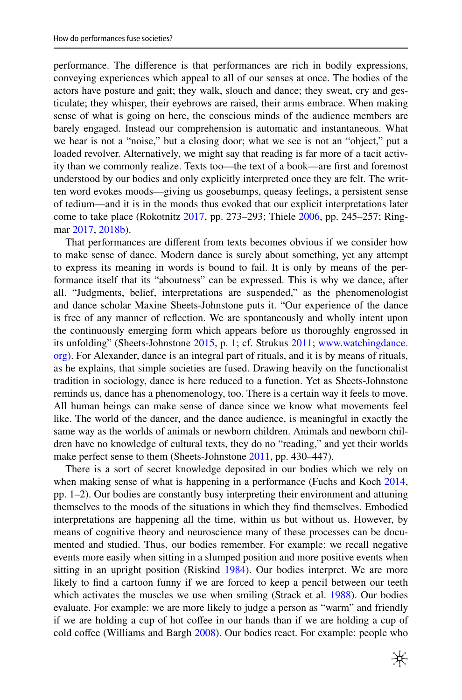performance. The diference is that performances are rich in bodily expressions, conveying experiences which appeal to all of our senses at once. The bodies of the actors have posture and gait; they walk, slouch and dance; they sweat, cry and gesticulate; they whisper, their eyebrows are raised, their arms embrace. When making sense of what is going on here, the conscious minds of the audience members are barely engaged. Instead our comprehension is automatic and instantaneous. What we hear is not a "noise," but a closing door; what we see is not an "object," put a loaded revolver. Alternatively, we might say that reading is far more of a tacit activity than we commonly realize. Texts too—the text of a book—are frst and foremost understood by our bodies and only explicitly interpreted once they are felt. The written word evokes moods—giving us goosebumps, queasy feelings, a persistent sense of tedium—and it is in the moods thus evoked that our explicit interpretations later come to take place (Rokotnitz [2017,](#page-13-10) pp. 273–293; Thiele [2006](#page-14-1), pp. 245–257; Ring-mar [2017](#page-13-11), [2018b](#page-13-12)).

That performances are diferent from texts becomes obvious if we consider how to make sense of dance. Modern dance is surely about something, yet any attempt to express its meaning in words is bound to fail. It is only by means of the performance itself that its "aboutness" can be expressed. This is why we dance, after all. "Judgments, belief, interpretations are suspended," as the phenomenologist and dance scholar Maxine Sheets-Johnstone puts it. "Our experience of the dance is free of any manner of refection. We are spontaneously and wholly intent upon the continuously emerging form which appears before us thoroughly engrossed in its unfolding" (Sheets-Johnstone [2015](#page-14-2), p. 1; cf. Strukus [2011](#page-14-3); [www.watchingdance.](http://www.watchingdance.org) [org](http://www.watchingdance.org)). For Alexander, dance is an integral part of rituals, and it is by means of rituals, as he explains, that simple societies are fused. Drawing heavily on the functionalist tradition in sociology, dance is here reduced to a function. Yet as Sheets-Johnstone reminds us, dance has a phenomenology, too. There is a certain way it feels to move. All human beings can make sense of dance since we know what movements feel like. The world of the dancer, and the dance audience, is meaningful in exactly the same way as the worlds of animals or newborn children. Animals and newborn children have no knowledge of cultural texts, they do no "reading," and yet their worlds make perfect sense to them (Sheets-Johnstone [2011](#page-14-4), pp. 430–447).

There is a sort of secret knowledge deposited in our bodies which we rely on when making sense of what is happening in a performance (Fuchs and Koch [2014,](#page-12-9) pp. 1–2). Our bodies are constantly busy interpreting their environment and attuning themselves to the moods of the situations in which they fnd themselves. Embodied interpretations are happening all the time, within us but without us. However, by means of cognitive theory and neuroscience many of these processes can be documented and studied. Thus, our bodies remember. For example: we recall negative events more easily when sitting in a slumped position and more positive events when sitting in an upright position (Riskind [1984\)](#page-13-13). Our bodies interpret. We are more likely to fnd a cartoon funny if we are forced to keep a pencil between our teeth which activates the muscles we use when smiling (Strack et al. [1988\)](#page-14-5). Our bodies evaluate. For example: we are more likely to judge a person as "warm" and friendly if we are holding a cup of hot cofee in our hands than if we are holding a cup of cold coffee (Williams and Bargh [2008](#page-14-6)). Our bodies react. For example: people who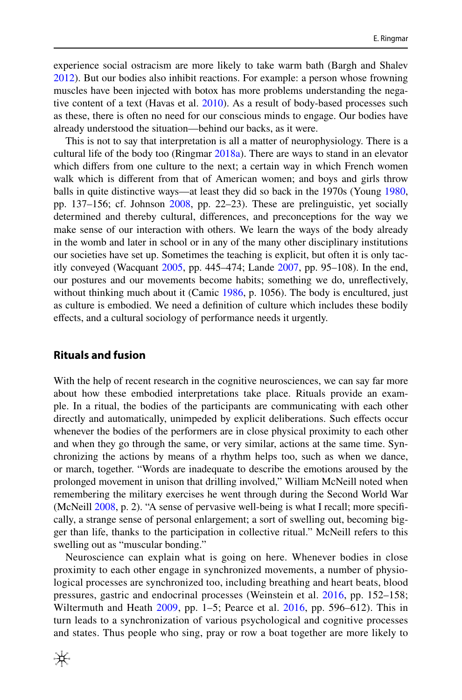experience social ostracism are more likely to take warm bath (Bargh and Shalev [2012](#page-11-8)). But our bodies also inhibit reactions. For example: a person whose frowning muscles have been injected with botox has more problems understanding the nega-tive content of a text (Havas et al. [2010](#page-12-10)). As a result of body-based processes such as these, there is often no need for our conscious minds to engage. Our bodies have already understood the situation—behind our backs, as it were.

This is not to say that interpretation is all a matter of neurophysiology. There is a cultural life of the body too (Ringmar [2018a\)](#page-13-14). There are ways to stand in an elevator which difers from one culture to the next; a certain way in which French women walk which is diferent from that of American women; and boys and girls throw balls in quite distinctive ways—at least they did so back in the 1970s (Young [1980,](#page-15-0) pp. 137–156; cf. Johnson [2008](#page-12-11), pp. 22–23). These are prelinguistic, yet socially determined and thereby cultural, diferences, and preconceptions for the way we make sense of our interaction with others. We learn the ways of the body already in the womb and later in school or in any of the many other disciplinary institutions our societies have set up. Sometimes the teaching is explicit, but often it is only tacitly conveyed (Wacquant [2005](#page-14-7), pp. 445–474; Lande [2007](#page-13-15), pp. 95–108). In the end, our postures and our movements become habits; something we do, unrefectively, without thinking much about it (Camic [1986](#page-12-12), p. 1056). The body is encultured, just as culture is embodied. We need a defnition of culture which includes these bodily efects, and a cultural sociology of performance needs it urgently.

## **Rituals and fusion**

With the help of recent research in the cognitive neurosciences, we can say far more about how these embodied interpretations take place. Rituals provide an example. In a ritual, the bodies of the participants are communicating with each other directly and automatically, unimpeded by explicit deliberations. Such efects occur whenever the bodies of the performers are in close physical proximity to each other and when they go through the same, or very similar, actions at the same time. Synchronizing the actions by means of a rhythm helps too, such as when we dance, or march, together. "Words are inadequate to describe the emotions aroused by the prolonged movement in unison that drilling involved," William McNeill noted when remembering the military exercises he went through during the Second World War (McNeill [2008](#page-13-16), p. 2). "A sense of pervasive well-being is what I recall; more specifcally, a strange sense of personal enlargement; a sort of swelling out, becoming bigger than life, thanks to the participation in collective ritual." McNeill refers to this swelling out as "muscular bonding."

Neuroscience can explain what is going on here. Whenever bodies in close proximity to each other engage in synchronized movements, a number of physiological processes are synchronized too, including breathing and heart beats, blood pressures, gastric and endocrinal processes (Weinstein et al. [2016](#page-14-8), pp. 152–158; Wiltermuth and Heath  $2009$ , pp.  $1-5$ ; Pearce et al.  $2016$ , pp. 596–612). This in turn leads to a synchronization of various psychological and cognitive processes and states. Thus people who sing, pray or row a boat together are more likely to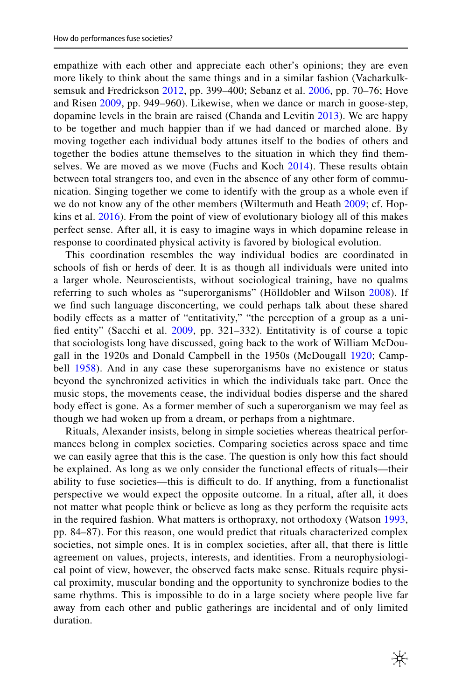empathize with each other and appreciate each other's opinions; they are even more likely to think about the same things and in a similar fashion (Vacharkulksemsuk and Fredrickson [2012](#page-14-10), pp. 399–400; Sebanz et al. [2006](#page-14-11), pp. 70–76; Hove and Risen [2009,](#page-12-13) pp. 949–960). Likewise, when we dance or march in goose-step, dopamine levels in the brain are raised (Chanda and Levitin [2013\)](#page-12-14). We are happy to be together and much happier than if we had danced or marched alone. By moving together each individual body attunes itself to the bodies of others and together the bodies attune themselves to the situation in which they fnd themselves. We are moved as we move (Fuchs and Koch  $2014$ ). These results obtain between total strangers too, and even in the absence of any other form of communication. Singing together we come to identify with the group as a whole even if we do not know any of the other members (Wiltermuth and Heath [2009](#page-14-9); cf. Hopkins et al. [2016](#page-12-15)). From the point of view of evolutionary biology all of this makes perfect sense. After all, it is easy to imagine ways in which dopamine release in response to coordinated physical activity is favored by biological evolution.

This coordination resembles the way individual bodies are coordinated in schools of fsh or herds of deer. It is as though all individuals were united into a larger whole. Neuroscientists, without sociological training, have no qualms referring to such wholes as "superorganisms" (Hölldobler and Wilson [2008\)](#page-12-16). If we fnd such language disconcerting, we could perhaps talk about these shared bodily effects as a matter of "entitativity," "the perception of a group as a unifed entity" (Sacchi et al. [2009,](#page-14-12) pp. 321–332). Entitativity is of course a topic that sociologists long have discussed, going back to the work of William McDougall in the 1920s and Donald Campbell in the 1950s (McDougall [1920;](#page-13-18) Camp-bell [1958](#page-12-17)). And in any case these superorganisms have no existence or status beyond the synchronized activities in which the individuals take part. Once the music stops, the movements cease, the individual bodies disperse and the shared body effect is gone. As a former member of such a superorganism we may feel as though we had woken up from a dream, or perhaps from a nightmare.

Rituals, Alexander insists, belong in simple societies whereas theatrical performances belong in complex societies. Comparing societies across space and time we can easily agree that this is the case. The question is only how this fact should be explained. As long as we only consider the functional efects of rituals—their ability to fuse societies—this is difficult to do. If anything, from a functionalist perspective we would expect the opposite outcome. In a ritual, after all, it does not matter what people think or believe as long as they perform the requisite acts in the required fashion. What matters is orthopraxy, not orthodoxy (Watson [1993,](#page-14-13) pp. 84–87). For this reason, one would predict that rituals characterized complex societies, not simple ones. It is in complex societies, after all, that there is little agreement on values, projects, interests, and identities. From a neurophysiological point of view, however, the observed facts make sense. Rituals require physical proximity, muscular bonding and the opportunity to synchronize bodies to the same rhythms. This is impossible to do in a large society where people live far away from each other and public gatherings are incidental and of only limited duration.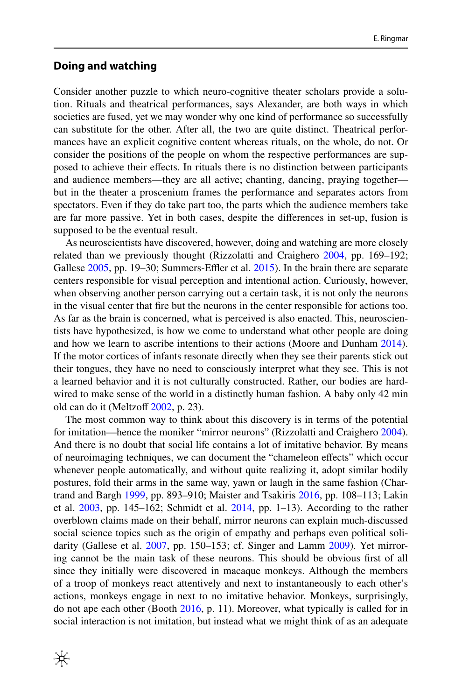#### **Doing and watching**

Consider another puzzle to which neuro-cognitive theater scholars provide a solution. Rituals and theatrical performances, says Alexander, are both ways in which societies are fused, yet we may wonder why one kind of performance so successfully can substitute for the other. After all, the two are quite distinct. Theatrical performances have an explicit cognitive content whereas rituals, on the whole, do not. Or consider the positions of the people on whom the respective performances are supposed to achieve their efects. In rituals there is no distinction between participants and audience members—they are all active; chanting, dancing, praying together but in the theater a proscenium frames the performance and separates actors from spectators. Even if they do take part too, the parts which the audience members take are far more passive. Yet in both cases, despite the diferences in set-up, fusion is supposed to be the eventual result.

As neuroscientists have discovered, however, doing and watching are more closely related than we previously thought (Rizzolatti and Craighero [2004,](#page-13-19) pp. 169–192; Gallese  $2005$ , pp. 19–30; Summers-Effler et al.  $2015$ ). In the brain there are separate centers responsible for visual perception and intentional action. Curiously, however, when observing another person carrying out a certain task, it is not only the neurons in the visual center that fre but the neurons in the center responsible for actions too. As far as the brain is concerned, what is perceived is also enacted. This, neuroscientists have hypothesized, is how we come to understand what other people are doing and how we learn to ascribe intentions to their actions (Moore and Dunham [2014\)](#page-13-20). If the motor cortices of infants resonate directly when they see their parents stick out their tongues, they have no need to consciously interpret what they see. This is not a learned behavior and it is not culturally constructed. Rather, our bodies are hardwired to make sense of the world in a distinctly human fashion. A baby only 42 min old can do it (Meltzoff [2002](#page-13-21), p. 23).

The most common way to think about this discovery is in terms of the potential for imitation—hence the moniker "mirror neurons" (Rizzolatti and Craighero [2004\)](#page-13-19). And there is no doubt that social life contains a lot of imitative behavior. By means of neuroimaging techniques, we can document the "chameleon efects" which occur whenever people automatically, and without quite realizing it, adopt similar bodily postures, fold their arms in the same way, yawn or laugh in the same fashion (Chartrand and Bargh [1999](#page-12-19), pp. 893–910; Maister and Tsakiris [2016](#page-13-22), pp. 108–113; Lakin et al. [2003](#page-12-20), pp. 145–162; Schmidt et al. [2014](#page-14-15), pp. 1–13). According to the rather overblown claims made on their behalf, mirror neurons can explain much-discussed social science topics such as the origin of empathy and perhaps even political soli-darity (Gallese et al. [2007,](#page-12-21) pp. 150–153; cf. Singer and Lamm [2009\)](#page-14-16). Yet mirroring cannot be the main task of these neurons. This should be obvious frst of all since they initially were discovered in macaque monkeys. Although the members of a troop of monkeys react attentively and next to instantaneously to each other's actions, monkeys engage in next to no imitative behavior. Monkeys, surprisingly, do not ape each other (Booth [2016](#page-11-9), p. 11). Moreover, what typically is called for in social interaction is not imitation, but instead what we might think of as an adequate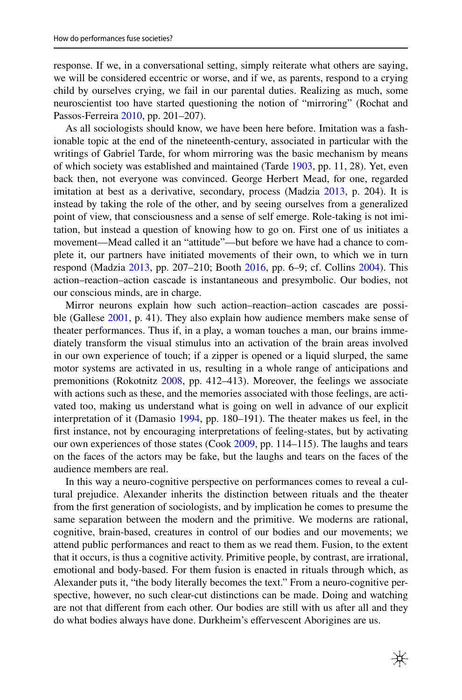response. If we, in a conversational setting, simply reiterate what others are saying, we will be considered eccentric or worse, and if we, as parents, respond to a crying child by ourselves crying, we fail in our parental duties. Realizing as much, some neuroscientist too have started questioning the notion of "mirroring" (Rochat and Passos-Ferreira [2010](#page-13-23), pp. 201–207).

As all sociologists should know, we have been here before. Imitation was a fashionable topic at the end of the nineteenth-century, associated in particular with the writings of Gabriel Tarde, for whom mirroring was the basic mechanism by means of which society was established and maintained (Tarde [1903](#page-14-17), pp. 11, 28). Yet, even back then, not everyone was convinced. George Herbert Mead, for one, regarded imitation at best as a derivative, secondary, process (Madzia [2013](#page-13-24), p. 204). It is instead by taking the role of the other, and by seeing ourselves from a generalized point of view, that consciousness and a sense of self emerge. Role-taking is not imitation, but instead a question of knowing how to go on. First one of us initiates a movement—Mead called it an "attitude"—but before we have had a chance to complete it, our partners have initiated movements of their own, to which we in turn respond (Madzia [2013,](#page-13-24) pp. 207–210; Booth [2016](#page-11-9), pp. 6–9; cf. Collins [2004](#page-12-5)). This action–reaction–action cascade is instantaneous and presymbolic. Our bodies, not our conscious minds, are in charge.

Mirror neurons explain how such action–reaction–action cascades are possible (Gallese [2001,](#page-12-22) p. 41). They also explain how audience members make sense of theater performances. Thus if, in a play, a woman touches a man, our brains immediately transform the visual stimulus into an activation of the brain areas involved in our own experience of touch; if a zipper is opened or a liquid slurped, the same motor systems are activated in us, resulting in a whole range of anticipations and premonitions (Rokotnitz [2008,](#page-14-18) pp. 412–413). Moreover, the feelings we associate with actions such as these, and the memories associated with those feelings, are activated too, making us understand what is going on well in advance of our explicit interpretation of it (Damasio [1994](#page-12-2), pp. 180–191). The theater makes us feel, in the frst instance, not by encouraging interpretations of feeling-states, but by activating our own experiences of those states (Cook [2009,](#page-12-23) pp. 114–115). The laughs and tears on the faces of the actors may be fake, but the laughs and tears on the faces of the audience members are real.

In this way a neuro-cognitive perspective on performances comes to reveal a cultural prejudice. Alexander inherits the distinction between rituals and the theater from the frst generation of sociologists, and by implication he comes to presume the same separation between the modern and the primitive. We moderns are rational, cognitive, brain-based, creatures in control of our bodies and our movements; we attend public performances and react to them as we read them. Fusion, to the extent that it occurs, is thus a cognitive activity. Primitive people, by contrast, are irrational, emotional and body-based. For them fusion is enacted in rituals through which, as Alexander puts it, "the body literally becomes the text." From a neuro-cognitive perspective, however, no such clear-cut distinctions can be made. Doing and watching are not that diferent from each other. Our bodies are still with us after all and they do what bodies always have done. Durkheim's efervescent Aborigines are us.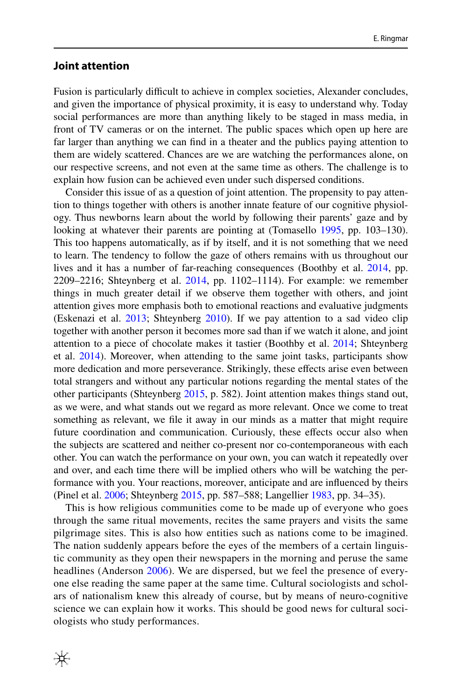#### **Joint attention**

₩

Fusion is particularly difcult to achieve in complex societies, Alexander concludes, and given the importance of physical proximity, it is easy to understand why. Today social performances are more than anything likely to be staged in mass media, in front of TV cameras or on the internet. The public spaces which open up here are far larger than anything we can fnd in a theater and the publics paying attention to them are widely scattered. Chances are we are watching the performances alone, on our respective screens, and not even at the same time as others. The challenge is to explain how fusion can be achieved even under such dispersed conditions.

Consider this issue of as a question of joint attention. The propensity to pay attention to things together with others is another innate feature of our cognitive physiology. Thus newborns learn about the world by following their parents' gaze and by looking at whatever their parents are pointing at (Tomasello [1995,](#page-14-19) pp. 103–130). This too happens automatically, as if by itself, and it is not something that we need to learn. The tendency to follow the gaze of others remains with us throughout our lives and it has a number of far-reaching consequences (Boothby et al. [2014,](#page-11-10) pp. 2209–2216; Shteynberg et al. [2014,](#page-14-20) pp. 1102–1114). For example: we remember things in much greater detail if we observe them together with others, and joint attention gives more emphasis both to emotional reactions and evaluative judgments (Eskenazi et al. [2013](#page-12-24); Shteynberg [2010\)](#page-14-21). If we pay attention to a sad video clip together with another person it becomes more sad than if we watch it alone, and joint attention to a piece of chocolate makes it tastier (Boothby et al. [2014;](#page-11-10) Shteynberg et al. [2014](#page-14-20)). Moreover, when attending to the same joint tasks, participants show more dedication and more perseverance. Strikingly, these efects arise even between total strangers and without any particular notions regarding the mental states of the other participants (Shteynberg [2015](#page-14-22), p. 582). Joint attention makes things stand out, as we were, and what stands out we regard as more relevant. Once we come to treat something as relevant, we fle it away in our minds as a matter that might require future coordination and communication. Curiously, these efects occur also when the subjects are scattered and neither co-present nor co-contemporaneous with each other. You can watch the performance on your own, you can watch it repeatedly over and over, and each time there will be implied others who will be watching the performance with you. Your reactions, moreover, anticipate and are infuenced by theirs (Pinel et al. [2006](#page-13-25); Shteynberg [2015](#page-14-22), pp. 587–588; Langellier [1983,](#page-13-26) pp. 34–35).

This is how religious communities come to be made up of everyone who goes through the same ritual movements, recites the same prayers and visits the same pilgrimage sites. This is also how entities such as nations come to be imagined. The nation suddenly appears before the eyes of the members of a certain linguistic community as they open their newspapers in the morning and peruse the same headlines (Anderson [2006](#page-11-11)). We are dispersed, but we feel the presence of everyone else reading the same paper at the same time. Cultural sociologists and scholars of nationalism knew this already of course, but by means of neuro-cognitive science we can explain how it works. This should be good news for cultural sociologists who study performances.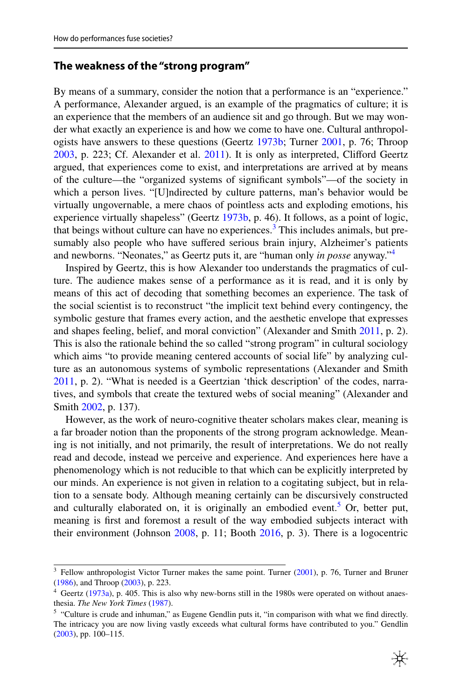## **The weakness of the "strong program"**

By means of a summary, consider the notion that a performance is an "experience." A performance, Alexander argued, is an example of the pragmatics of culture; it is an experience that the members of an audience sit and go through. But we may wonder what exactly an experience is and how we come to have one. Cultural anthropologists have answers to these questions (Geertz [1973b](#page-12-25); Turner [2001](#page-14-23), p. 76; Throop [2003](#page-14-24), p. 223; Cf. Alexander et al. [2011](#page-11-12)). It is only as interpreted, Cliford Geertz argued, that experiences come to exist, and interpretations are arrived at by means of the culture—the "organized systems of signifcant symbols"—of the society in which a person lives. "[U]ndirected by culture patterns, man's behavior would be virtually ungovernable, a mere chaos of pointless acts and exploding emotions, his experience virtually shapeless" (Geertz [1973b](#page-12-25), p. 46). It follows, as a point of logic, that beings without culture can have no experiences.<sup>3</sup> This includes animals, but presumably also people who have sufered serious brain injury, Alzheimer's patients and newborns. "Neonates," as Geertz puts it, are "human only *in posse* anyway."[4](#page-10-1)

Inspired by Geertz, this is how Alexander too understands the pragmatics of culture. The audience makes sense of a performance as it is read, and it is only by means of this act of decoding that something becomes an experience. The task of the social scientist is to reconstruct "the implicit text behind every contingency, the symbolic gesture that frames every action, and the aesthetic envelope that expresses and shapes feeling, belief, and moral conviction" (Alexander and Smith [2011](#page-11-13), p. 2). This is also the rationale behind the so called "strong program" in cultural sociology which aims "to provide meaning centered accounts of social life" by analyzing culture as an autonomous systems of symbolic representations (Alexander and Smith [2011](#page-11-13), p. 2). "What is needed is a Geertzian 'thick description' of the codes, narratives, and symbols that create the textured webs of social meaning" (Alexander and Smith [2002,](#page-11-14) p. 137).

However, as the work of neuro-cognitive theater scholars makes clear, meaning is a far broader notion than the proponents of the strong program acknowledge. Meaning is not initially, and not primarily, the result of interpretations. We do not really read and decode, instead we perceive and experience. And experiences here have a phenomenology which is not reducible to that which can be explicitly interpreted by our minds. An experience is not given in relation to a cogitating subject, but in relation to a sensate body. Although meaning certainly can be discursively constructed and culturally elaborated on, it is originally an embodied event.<sup>[5](#page-10-2)</sup> Or, better put, meaning is frst and foremost a result of the way embodied subjects interact with their environment (Johnson [2008,](#page-12-11) p. 11; Booth [2016](#page-11-9), p. 3). There is a logocentric

<span id="page-10-0"></span><sup>&</sup>lt;sup>3</sup> Fellow anthropologist Victor Turner makes the same point. Turner [\(2001](#page-14-23)), p. 76, Turner and Bruner ([1986\)](#page-14-25), and Throop [\(2003](#page-14-24)), p. 223.

<span id="page-10-1"></span><sup>4</sup> Geertz [\(1973a\)](#page-12-26), p. 405. This is also why new-borns still in the 1980s were operated on without anaesthesia. *The New York Times* [\(1987](#page-14-26)).

<span id="page-10-2"></span><sup>5</sup> "Culture is crude and inhuman," as Eugene Gendlin puts it, "in comparison with what we fnd directly. The intricacy you are now living vastly exceeds what cultural forms have contributed to you." Gendlin ([2003\)](#page-12-27), pp. 100–115.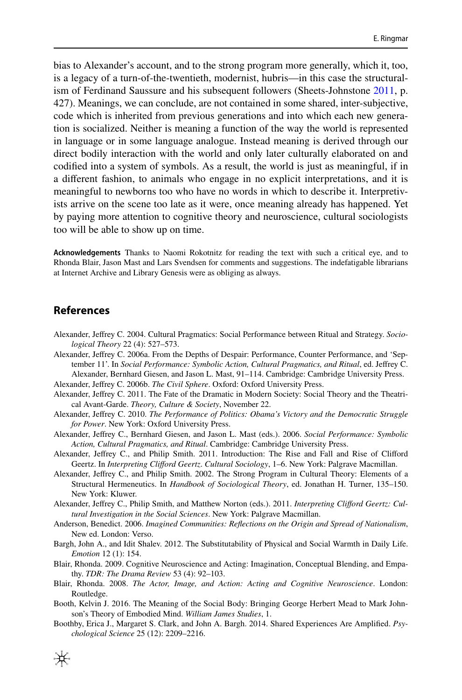bias to Alexander's account, and to the strong program more generally, which it, too, is a legacy of a turn-of-the-twentieth, modernist, hubris—in this case the structuralism of Ferdinand Saussure and his subsequent followers (Sheets-Johnstone [2011](#page-14-4), p. 427). Meanings, we can conclude, are not contained in some shared, inter-subjective, code which is inherited from previous generations and into which each new generation is socialized. Neither is meaning a function of the way the world is represented in language or in some language analogue. Instead meaning is derived through our direct bodily interaction with the world and only later culturally elaborated on and codifed into a system of symbols. As a result, the world is just as meaningful, if in a diferent fashion, to animals who engage in no explicit interpretations, and it is meaningful to newborns too who have no words in which to describe it. Interpretivists arrive on the scene too late as it were, once meaning already has happened. Yet by paying more attention to cognitive theory and neuroscience, cultural sociologists too will be able to show up on time.

**Acknowledgements** Thanks to Naomi Rokotnitz for reading the text with such a critical eye, and to Rhonda Blair, Jason Mast and Lars Svendsen for comments and suggestions. The indefatigable librarians at Internet Archive and Library Genesis were as obliging as always.

# **References**

- <span id="page-11-1"></span>Alexander, Jefrey C. 2004. Cultural Pragmatics: Social Performance between Ritual and Strategy. *Sociological Theory* 22 (4): 527–573.
- <span id="page-11-2"></span>Alexander, Jefrey C. 2006a. From the Depths of Despair: Performance, Counter Performance, and 'September 11'. In *Social Performance: Symbolic Action, Cultural Pragmatics, and Ritual*, ed. Jefrey C. Alexander, Bernhard Giesen, and Jason L. Mast, 91–114. Cambridge: Cambridge University Press.

<span id="page-11-7"></span>Alexander, Jefrey C. 2006b. *The Civil Sphere*. Oxford: Oxford University Press.

- <span id="page-11-4"></span>Alexander, Jefrey C. 2011. The Fate of the Dramatic in Modern Society: Social Theory and the Theatrical Avant-Garde. *Theory, Culture & Society*, November 22.
- <span id="page-11-3"></span>Alexander, Jefrey C. 2010. *The Performance of Politics: Obama's Victory and the Democratic Struggle for Power*. New York: Oxford University Press.
- <span id="page-11-0"></span>Alexander, Jefrey C., Bernhard Giesen, and Jason L. Mast (eds.). 2006. *Social Performance: Symbolic Action, Cultural Pragmatics, and Ritual*. Cambridge: Cambridge University Press.
- <span id="page-11-13"></span>Alexander, Jefrey C., and Philip Smith. 2011. Introduction: The Rise and Fall and Rise of Cliford Geertz. In *Interpreting Cliford Geertz*. *Cultural Sociology*, 1–6. New York: Palgrave Macmillan.
- <span id="page-11-14"></span>Alexander, Jefrey C., and Philip Smith. 2002. The Strong Program in Cultural Theory: Elements of a Structural Hermeneutics. In *Handbook of Sociological Theory*, ed. Jonathan H. Turner, 135–150. New York: Kluwer.
- <span id="page-11-12"></span>Alexander, Jefrey C., Philip Smith, and Matthew Norton (eds.). 2011. *Interpreting Cliford Geertz: Cultural Investigation in the Social Sciences*. New York: Palgrave Macmillan.
- <span id="page-11-11"></span>Anderson, Benedict. 2006. *Imagined Communities: Refections on the Origin and Spread of Nationalism*, New ed. London: Verso.
- <span id="page-11-8"></span>Bargh, John A., and Idit Shalev. 2012. The Substitutability of Physical and Social Warmth in Daily Life. *Emotion* 12 (1): 154.
- <span id="page-11-6"></span>Blair, Rhonda. 2009. Cognitive Neuroscience and Acting: Imagination, Conceptual Blending, and Empathy. *TDR: The Drama Review* 53 (4): 92–103.
- <span id="page-11-5"></span>Blair, Rhonda. 2008. *The Actor, Image, and Action: Acting and Cognitive Neuroscience*. London: Routledge.
- <span id="page-11-9"></span>Booth, Kelvin J. 2016. The Meaning of the Social Body: Bringing George Herbert Mead to Mark Johnson's Theory of Embodied Mind. *William James Studies*, 1.
- <span id="page-11-10"></span>Boothby, Erica J., Margaret S. Clark, and John A. Bargh. 2014. Shared Experiences Are Amplifed. *Psychological Science* 25 (12): 2209–2216.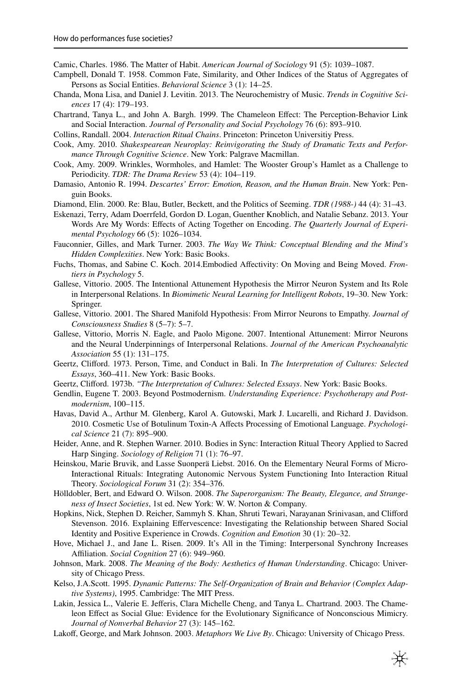<span id="page-12-12"></span>Camic, Charles. 1986. The Matter of Habit. *American Journal of Sociology* 91 (5): 1039–1087.

- <span id="page-12-17"></span>Campbell, Donald T. 1958. Common Fate, Similarity, and Other Indices of the Status of Aggregates of Persons as Social Entities. *Behavioral Science* 3 (1): 14–25.
- <span id="page-12-14"></span>Chanda, Mona Lisa, and Daniel J. Levitin. 2013. The Neurochemistry of Music. *Trends in Cognitive Sciences* 17 (4): 179–193.
- <span id="page-12-19"></span>Chartrand, Tanya L., and John A. Bargh. 1999. The Chameleon Efect: The Perception-Behavior Link and Social Interaction. *Journal of Personality and Social Psychology* 76 (6): 893–910.

<span id="page-12-5"></span>Collins, Randall. 2004. *Interaction Ritual Chains*. Princeton: Princeton Universitiy Press.

- <span id="page-12-0"></span>Cook, Amy. 2010. *Shakespearean Neuroplay: Reinvigorating the Study of Dramatic Texts and Performance Through Cognitive Science*. New York: Palgrave Macmillan.
- <span id="page-12-23"></span>Cook, Amy. 2009. Wrinkles, Wormholes, and Hamlet: The Wooster Group's Hamlet as a Challenge to Periodicity. *TDR: The Drama Review* 53 (4): 104–119.
- <span id="page-12-2"></span>Damasio, Antonio R. 1994. *Descartes' Error: Emotion, Reason, and the Human Brain*. New York: Penguin Books.
- <span id="page-12-8"></span>Diamond, Elin. 2000. Re: Blau, Butler, Beckett, and the Politics of Seeming. *TDR (1988-)* 44 (4): 31–43.
- <span id="page-12-24"></span>Eskenazi, Terry, Adam Doerrfeld, Gordon D. Logan, Guenther Knoblich, and Natalie Sebanz. 2013. Your Words Are My Words: Efects of Acting Together on Encoding. *The Quarterly Journal of Experimental Psychology* 66 (5): 1026–1034.
- <span id="page-12-3"></span>Fauconnier, Gilles, and Mark Turner. 2003. *The Way We Think: Conceptual Blending and the Mind's Hidden Complexities*. New York: Basic Books.
- <span id="page-12-9"></span>Fuchs, Thomas, and Sabine C. Koch. 2014. Embodied Affectivity: On Moving and Being Moved. *Frontiers in Psychology* 5.
- <span id="page-12-18"></span>Gallese, Vittorio. 2005. The Intentional Attunement Hypothesis the Mirror Neuron System and Its Role in Interpersonal Relations. In *Biomimetic Neural Learning for Intelligent Robots*, 19–30. New York: Springer.
- <span id="page-12-22"></span>Gallese, Vittorio. 2001. The Shared Manifold Hypothesis: From Mirror Neurons to Empathy. *Journal of Consciousness Studies* 8 (5–7): 5–7.
- <span id="page-12-21"></span>Gallese, Vittorio, Morris N. Eagle, and Paolo Migone. 2007. Intentional Attunement: Mirror Neurons and the Neural Underpinnings of Interpersonal Relations. *Journal of the American Psychoanalytic Association* 55 (1): 131–175.
- <span id="page-12-26"></span>Geertz, Cliford. 1973. Person, Time, and Conduct in Bali. In *The Interpretation of Cultures: Selected Essays*, 360–411. New York: Basic Books.
- <span id="page-12-25"></span>Geertz, Cliford. 1973b. *"The Interpretation of Cultures: Selected Essays*. New York: Basic Books.
- <span id="page-12-27"></span>Gendlin, Eugene T. 2003. Beyond Postmodernism. *Understanding Experience: Psychotherapy and Postmodernism*, 100–115.
- <span id="page-12-10"></span>Havas, David A., Arthur M. Glenberg, Karol A. Gutowski, Mark J. Lucarelli, and Richard J. Davidson. 2010. Cosmetic Use of Botulinum Toxin-A Afects Processing of Emotional Language. *Psychological Science* 21 (7): 895–900.
- <span id="page-12-7"></span>Heider, Anne, and R. Stephen Warner. 2010. Bodies in Sync: Interaction Ritual Theory Applied to Sacred Harp Singing. *Sociology of Religion* 71 (1): 76–97.
- <span id="page-12-6"></span>Heinskou, Marie Bruvik, and Lasse Suonperä Liebst. 2016. On the Elementary Neural Forms of Micro-Interactional Rituals: Integrating Autonomic Nervous System Functioning Into Interaction Ritual Theory. *Sociological Forum* 31 (2): 354–376.
- <span id="page-12-16"></span>Hölldobler, Bert, and Edward O. Wilson. 2008. *The Superorganism: The Beauty, Elegance, and Strangeness of Insect Societies*, 1st ed. New York: W. W. Norton & Company.
- <span id="page-12-15"></span>Hopkins, Nick, Stephen D. Reicher, Sammyh S. Khan, Shruti Tewari, Narayanan Srinivasan, and Cliford Stevenson. 2016. Explaining Efervescence: Investigating the Relationship between Shared Social Identity and Positive Experience in Crowds. *Cognition and Emotion* 30 (1): 20–32.
- <span id="page-12-13"></span>Hove, Michael J., and Jane L. Risen. 2009. It's All in the Timing: Interpersonal Synchrony Increases Afliation. *Social Cognition* 27 (6): 949–960.
- <span id="page-12-11"></span>Johnson, Mark. 2008. *The Meaning of the Body: Aesthetics of Human Understanding*. Chicago: University of Chicago Press.
- <span id="page-12-4"></span>Kelso, J.A.Scott. 1995. *Dynamic Patterns: The Self-Organization of Brain and Behavior (Complex Adaptive Systems)*, 1995. Cambridge: The MIT Press.
- <span id="page-12-20"></span>Lakin, Jessica L., Valerie E. Jeferis, Clara Michelle Cheng, and Tanya L. Chartrand. 2003. The Chameleon Efect as Social Glue: Evidence for the Evolutionary Signifcance of Nonconscious Mimicry. *Journal of Nonverbal Behavior* 27 (3): 145–162.
- <span id="page-12-1"></span>Lakof, George, and Mark Johnson. 2003. *Metaphors We Live By*. Chicago: University of Chicago Press.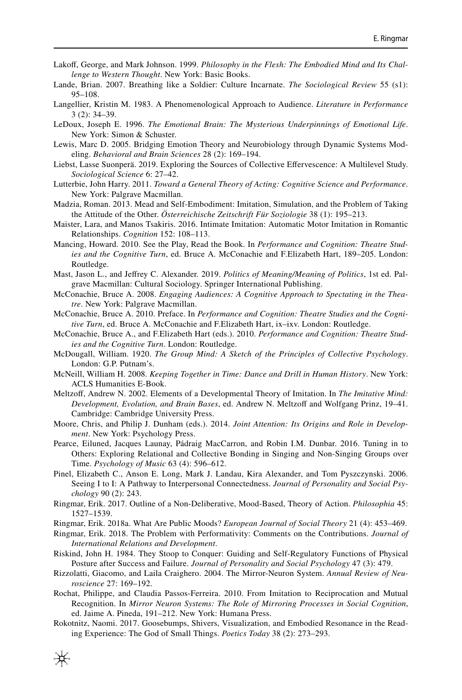- <span id="page-13-5"></span>Lakoff, George, and Mark Johnson. 1999. *Philosophy in the Flesh: The Embodied Mind and Its Challenge to Western Thought*. New York: Basic Books.
- <span id="page-13-15"></span>Lande, Brian. 2007. Breathing like a Soldier: Culture Incarnate. *The Sociological Review* 55 (s1): 95–108.
- <span id="page-13-26"></span>Langellier, Kristin M. 1983. A Phenomenological Approach to Audience. *Literature in Performance* 3 (2): 34–39.
- <span id="page-13-6"></span>LeDoux, Joseph E. 1996. *The Emotional Brain: The Mysterious Underpinnings of Emotional Life*. New York: Simon & Schuster.
- <span id="page-13-7"></span>Lewis, Marc D. 2005. Bridging Emotion Theory and Neurobiology through Dynamic Systems Modeling. *Behavioral and Brain Sciences* 28 (2): 169–194.
- <span id="page-13-8"></span>Liebst, Lasse Suonperä. 2019. Exploring the Sources of Collective Efervescence: A Multilevel Study. *Sociological Science* 6: 27–42.
- <span id="page-13-3"></span>Lutterbie, John Harry. 2011. *Toward a General Theory of Acting: Cognitive Science and Performance*. New York: Palgrave Macmillan.
- <span id="page-13-24"></span>Madzia, Roman. 2013. Mead and Self-Embodiment: Imitation, Simulation, and the Problem of Taking the Attitude of the Other. *Österreichische Zeitschrift Für Soziologie* 38 (1): 195–213.
- <span id="page-13-22"></span>Maister, Lara, and Manos Tsakiris. 2016. Intimate Imitation: Automatic Motor Imitation in Romantic Relationships. *Cognition* 152: 108–113.
- <span id="page-13-9"></span>Mancing, Howard. 2010. See the Play, Read the Book. In *Performance and Cognition: Theatre Studies and the Cognitive Turn*, ed. Bruce A. McConachie and F.Elizabeth Hart, 189–205. London: Routledge.
- <span id="page-13-0"></span>Mast, Jason L., and Jefrey C. Alexander. 2019. *Politics of Meaning/Meaning of Politics*, 1st ed. Palgrave Macmillan: Cultural Sociology. Springer International Publishing.
- <span id="page-13-1"></span>McConachie, Bruce A. 2008. *Engaging Audiences: A Cognitive Approach to Spectating in the Theatre*. New York: Palgrave Macmillan.
- <span id="page-13-4"></span>McConachie, Bruce A. 2010. Preface. In *Performance and Cognition: Theatre Studies and the Cognitive Turn*, ed. Bruce A. McConachie and F.Elizabeth Hart, ix–ixv. London: Routledge.
- <span id="page-13-2"></span>McConachie, Bruce A., and F.Elizabeth Hart (eds.). 2010. *Performance and Cognition: Theatre Studies and the Cognitive Turn*. London: Routledge.
- <span id="page-13-18"></span>McDougall, William. 1920. *The Group Mind: A Sketch of the Principles of Collective Psychology*. London: G.P. Putnam's.
- <span id="page-13-16"></span>McNeill, William H. 2008. *Keeping Together in Time: Dance and Drill in Human History*. New York: ACLS Humanities E-Book.
- <span id="page-13-21"></span>Meltzoff, Andrew N. 2002. Elements of a Developmental Theory of Imitation. In *The Imitative Mind: Development, Evolution, and Brain Bases*, ed. Andrew N. Meltzof and Wolfgang Prinz, 19–41. Cambridge: Cambridge University Press.
- <span id="page-13-20"></span>Moore, Chris, and Philip J. Dunham (eds.). 2014. *Joint Attention: Its Origins and Role in Development*. New York: Psychology Press.
- <span id="page-13-17"></span>Pearce, Eiluned, Jacques Launay, Pádraig MacCarron, and Robin I.M. Dunbar. 2016. Tuning in to Others: Exploring Relational and Collective Bonding in Singing and Non-Singing Groups over Time. *Psychology of Music* 63 (4): 596–612.
- <span id="page-13-25"></span>Pinel, Elizabeth C., Anson E. Long, Mark J. Landau, Kira Alexander, and Tom Pyszczynski. 2006. Seeing I to I: A Pathway to Interpersonal Connectedness. *Journal of Personality and Social Psychology* 90 (2): 243.
- <span id="page-13-11"></span>Ringmar, Erik. 2017. Outline of a Non-Deliberative, Mood-Based, Theory of Action. *Philosophia* 45: 1527–1539.
- <span id="page-13-14"></span>Ringmar, Erik. 2018a. What Are Public Moods? *European Journal of Social Theory* 21 (4): 453–469.
- <span id="page-13-12"></span>Ringmar, Erik. 2018. The Problem with Performativity: Comments on the Contributions. *Journal of International Relations and Development*.
- <span id="page-13-13"></span>Riskind, John H. 1984. They Stoop to Conquer: Guiding and Self-Regulatory Functions of Physical Posture after Success and Failure. *Journal of Personality and Social Psychology* 47 (3): 479.
- <span id="page-13-19"></span>Rizzolatti, Giacomo, and Laila Craighero. 2004. The Mirror-Neuron System. *Annual Review of Neuroscience* 27: 169–192.
- <span id="page-13-23"></span>Rochat, Philippe, and Claudia Passos-Ferreira. 2010. From Imitation to Reciprocation and Mutual Recognition. In *Mirror Neuron Systems: The Role of Mirroring Processes in Social Cognition*, ed. Jaime A. Pineda, 191–212. New York: Humana Press.
- <span id="page-13-10"></span>Rokotnitz, Naomi. 2017. Goosebumps, Shivers, Visualization, and Embodied Resonance in the Reading Experience: The God of Small Things. *Poetics Today* 38 (2): 273–293.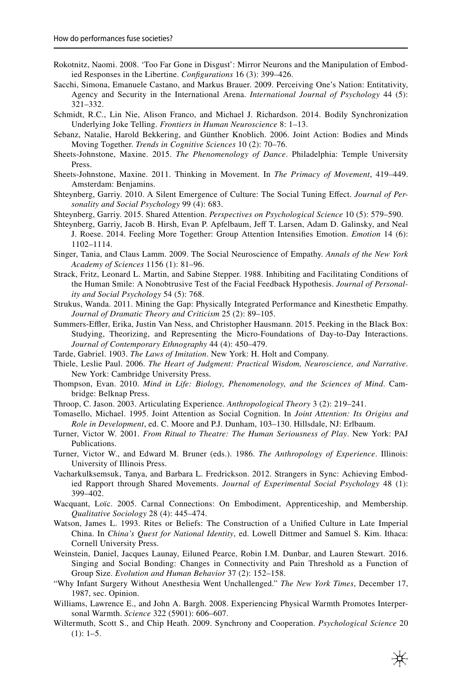- <span id="page-14-18"></span>Rokotnitz, Naomi. 2008. 'Too Far Gone in Disgust': Mirror Neurons and the Manipulation of Embodied Responses in the Libertine. *Confgurations* 16 (3): 399–426.
- <span id="page-14-12"></span>Sacchi, Simona, Emanuele Castano, and Markus Brauer. 2009. Perceiving One's Nation: Entitativity, Agency and Security in the International Arena. *International Journal of Psychology* 44 (5): 321–332.
- <span id="page-14-15"></span>Schmidt, R.C., Lin Nie, Alison Franco, and Michael J. Richardson. 2014. Bodily Synchronization Underlying Joke Telling. *Frontiers in Human Neuroscience* 8: 1–13.
- <span id="page-14-11"></span>Sebanz, Natalie, Harold Bekkering, and Günther Knoblich. 2006. Joint Action: Bodies and Minds Moving Together. *Trends in Cognitive Sciences* 10 (2): 70–76.
- <span id="page-14-2"></span>Sheets-Johnstone, Maxine. 2015. *The Phenomenology of Dance*. Philadelphia: Temple University Press.
- <span id="page-14-4"></span>Sheets-Johnstone, Maxine. 2011. Thinking in Movement. In *The Primacy of Movement*, 419–449. Amsterdam: Benjamins.
- <span id="page-14-21"></span>Shteynberg, Garriy. 2010. A Silent Emergence of Culture: The Social Tuning Efect. *Journal of Personality and Social Psychology* 99 (4): 683.
- <span id="page-14-22"></span>Shteynberg, Garriy. 2015. Shared Attention. *Perspectives on Psychological Science* 10 (5): 579–590.
- <span id="page-14-20"></span>Shteynberg, Garriy, Jacob B. Hirsh, Evan P. Apfelbaum, Jeff T. Larsen, Adam D. Galinsky, and Neal J. Roese. 2014. Feeling More Together: Group Attention Intensifes Emotion. *Emotion* 14 (6): 1102–1114.
- <span id="page-14-16"></span>Singer, Tania, and Claus Lamm. 2009. The Social Neuroscience of Empathy. *Annals of the New York Academy of Sciences* 1156 (1): 81–96.
- <span id="page-14-5"></span>Strack, Fritz, Leonard L. Martin, and Sabine Stepper. 1988. Inhibiting and Facilitating Conditions of the Human Smile: A Nonobtrusive Test of the Facial Feedback Hypothesis. *Journal of Personality and Social Psychology* 54 (5): 768.
- <span id="page-14-3"></span>Strukus, Wanda. 2011. Mining the Gap: Physically Integrated Performance and Kinesthetic Empathy. *Journal of Dramatic Theory and Criticism* 25 (2): 89–105.
- <span id="page-14-14"></span>Summers-Effler, Erika, Justin Van Ness, and Christopher Hausmann. 2015. Peeking in the Black Box: Studying, Theorizing, and Representing the Micro-Foundations of Day-to-Day Interactions. *Journal of Contemporary Ethnography* 44 (4): 450–479.
- <span id="page-14-17"></span>Tarde, Gabriel. 1903. *The Laws of Imitation*. New York: H. Holt and Company.
- <span id="page-14-1"></span>Thiele, Leslie Paul. 2006. *The Heart of Judgment: Practical Wisdom, Neuroscience, and Narrative*. New York: Cambridge University Press.
- <span id="page-14-0"></span>Thompson, Evan. 2010. *Mind in Life: Biology, Phenomenology, and the Sciences of Mind*. Cambridge: Belknap Press.
- <span id="page-14-24"></span>Throop, C. Jason. 2003. Articulating Experience. *Anthropological Theory* 3 (2): 219–241.
- <span id="page-14-19"></span>Tomasello, Michael. 1995. Joint Attention as Social Cognition. In *Joint Attention: Its Origins and Role in Development*, ed. C. Moore and P.J. Dunham, 103–130. Hillsdale, NJ: Erlbaum.
- <span id="page-14-23"></span>Turner, Victor W. 2001. *From Ritual to Theatre: The Human Seriousness of Play*. New York: PAJ Publications.
- <span id="page-14-25"></span>Turner, Victor W., and Edward M. Bruner (eds.). 1986. *The Anthropology of Experience*. Illinois: University of Illinois Press.
- <span id="page-14-10"></span>Vacharkulksemsuk, Tanya, and Barbara L. Fredrickson. 2012. Strangers in Sync: Achieving Embodied Rapport through Shared Movements. *Journal of Experimental Social Psychology* 48 (1): 399–402.
- <span id="page-14-7"></span>Wacquant, Loïc. 2005. Carnal Connections: On Embodiment, Apprenticeship, and Membership. *Qualitative Sociology* 28 (4): 445–474.
- <span id="page-14-13"></span>Watson, James L. 1993. Rites or Beliefs: The Construction of a Unifed Culture in Late Imperial China. In *China's Quest for National Identity*, ed. Lowell Dittmer and Samuel S. Kim. Ithaca: Cornell University Press.
- <span id="page-14-8"></span>Weinstein, Daniel, Jacques Launay, Eiluned Pearce, Robin I.M. Dunbar, and Lauren Stewart. 2016. Singing and Social Bonding: Changes in Connectivity and Pain Threshold as a Function of Group Size. *Evolution and Human Behavior* 37 (2): 152–158.
- <span id="page-14-26"></span>"Why Infant Surgery Without Anesthesia Went Unchallenged." *The New York Times*, December 17, 1987, sec. Opinion.
- <span id="page-14-6"></span>Williams, Lawrence E., and John A. Bargh. 2008. Experiencing Physical Warmth Promotes Interpersonal Warmth. *Science* 322 (5901): 606–607.
- <span id="page-14-9"></span>Wiltermuth, Scott S., and Chip Heath. 2009. Synchrony and Cooperation. *Psychological Science* 20  $(1): 1-5.$